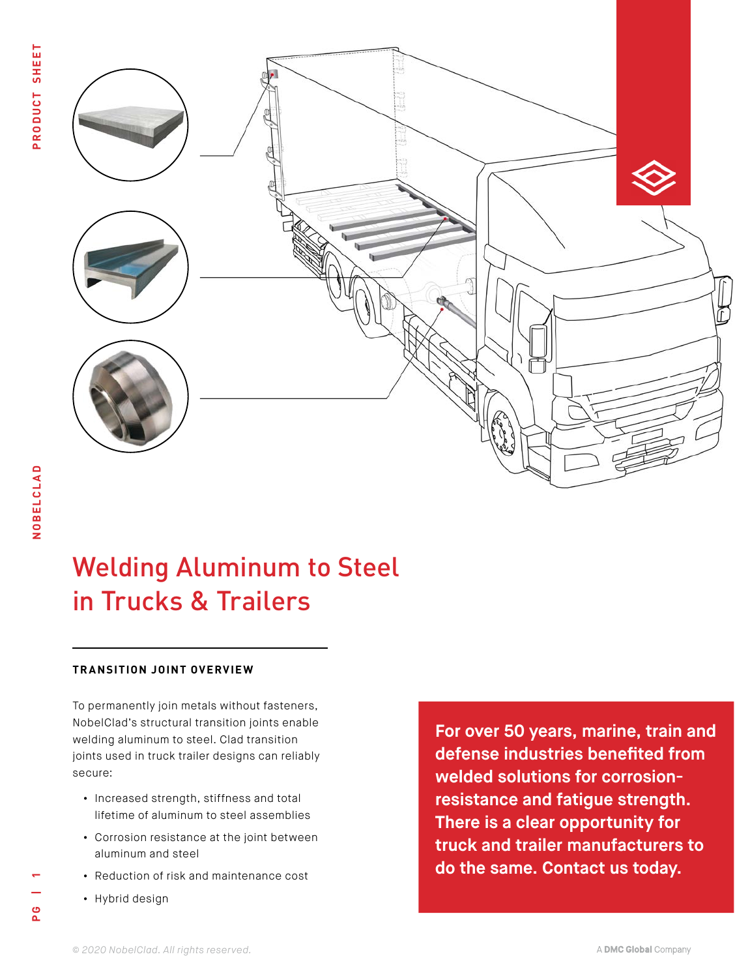

# Welding Aluminum to Steel in Trucks & Trailers

## **TRANSITION JOINT OVERVIEW**

To permanently join metals without fasteners, NobelClad's structural transition joints enable welding aluminum to steel. Clad transition joints used in truck trailer designs can reliably secure:

- **•** Increased strength, stiffness and total lifetime of aluminum to steel assemblies
- **•** Corrosion resistance at the joint between aluminum and steel
- **•** Reduction of risk and maintenance cost
- **•** Hybrid design

**[For over 50 years, marine, train and](https://www.nobelclad.com/general-inquiry)  defense industries benefited from welded solutions for corrosionresistance and fatigue strength. There is a clear opportunity for truck and trailer manufacturers to do the same. Contact us today.**